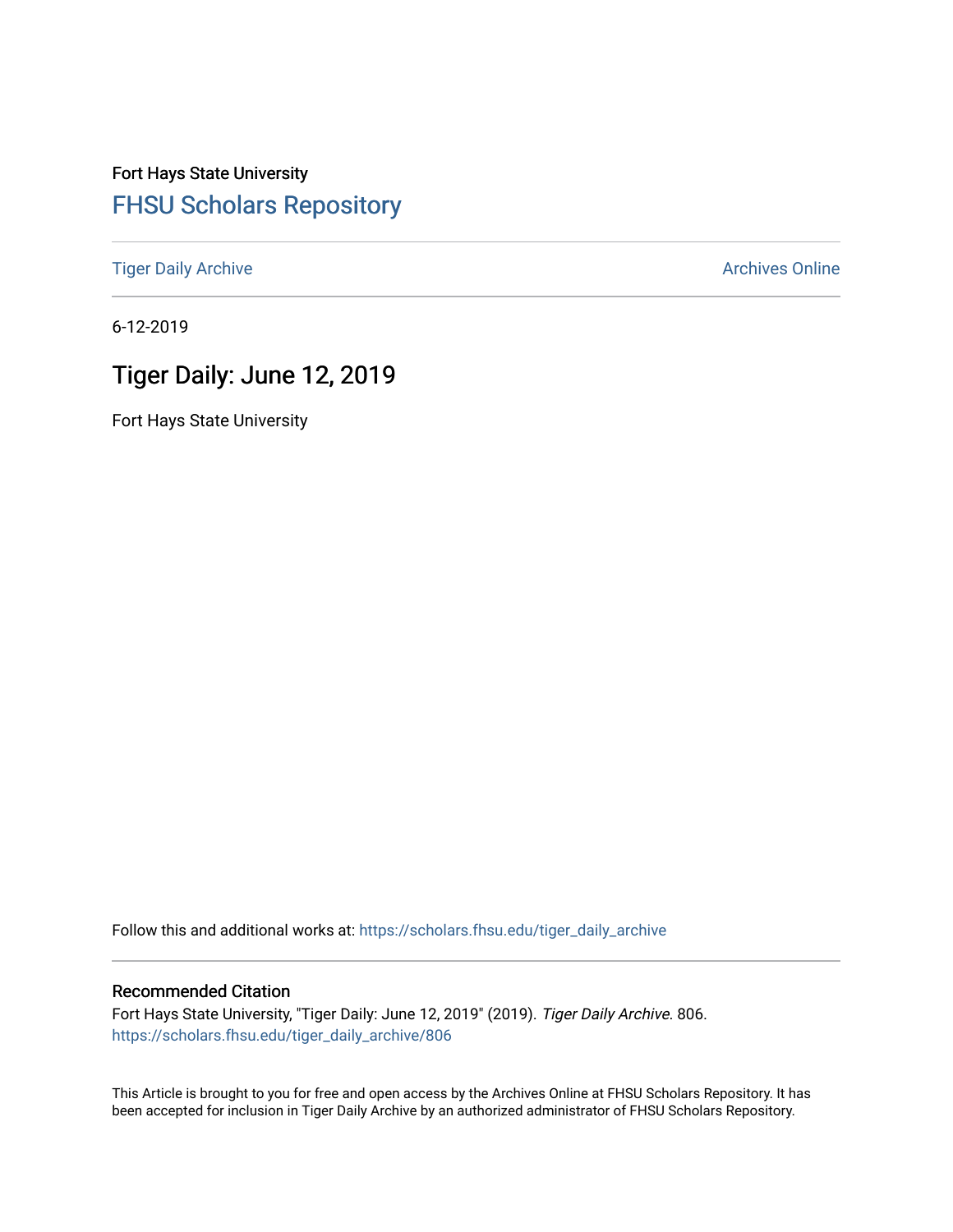# Fort Hays State University [FHSU Scholars Repository](https://scholars.fhsu.edu/)

[Tiger Daily Archive](https://scholars.fhsu.edu/tiger_daily_archive) **Archives** Online Archives Online

6-12-2019

# Tiger Daily: June 12, 2019

Fort Hays State University

Follow this and additional works at: [https://scholars.fhsu.edu/tiger\\_daily\\_archive](https://scholars.fhsu.edu/tiger_daily_archive?utm_source=scholars.fhsu.edu%2Ftiger_daily_archive%2F806&utm_medium=PDF&utm_campaign=PDFCoverPages)

#### Recommended Citation

Fort Hays State University, "Tiger Daily: June 12, 2019" (2019). Tiger Daily Archive. 806. [https://scholars.fhsu.edu/tiger\\_daily\\_archive/806](https://scholars.fhsu.edu/tiger_daily_archive/806?utm_source=scholars.fhsu.edu%2Ftiger_daily_archive%2F806&utm_medium=PDF&utm_campaign=PDFCoverPages)

This Article is brought to you for free and open access by the Archives Online at FHSU Scholars Repository. It has been accepted for inclusion in Tiger Daily Archive by an authorized administrator of FHSU Scholars Repository.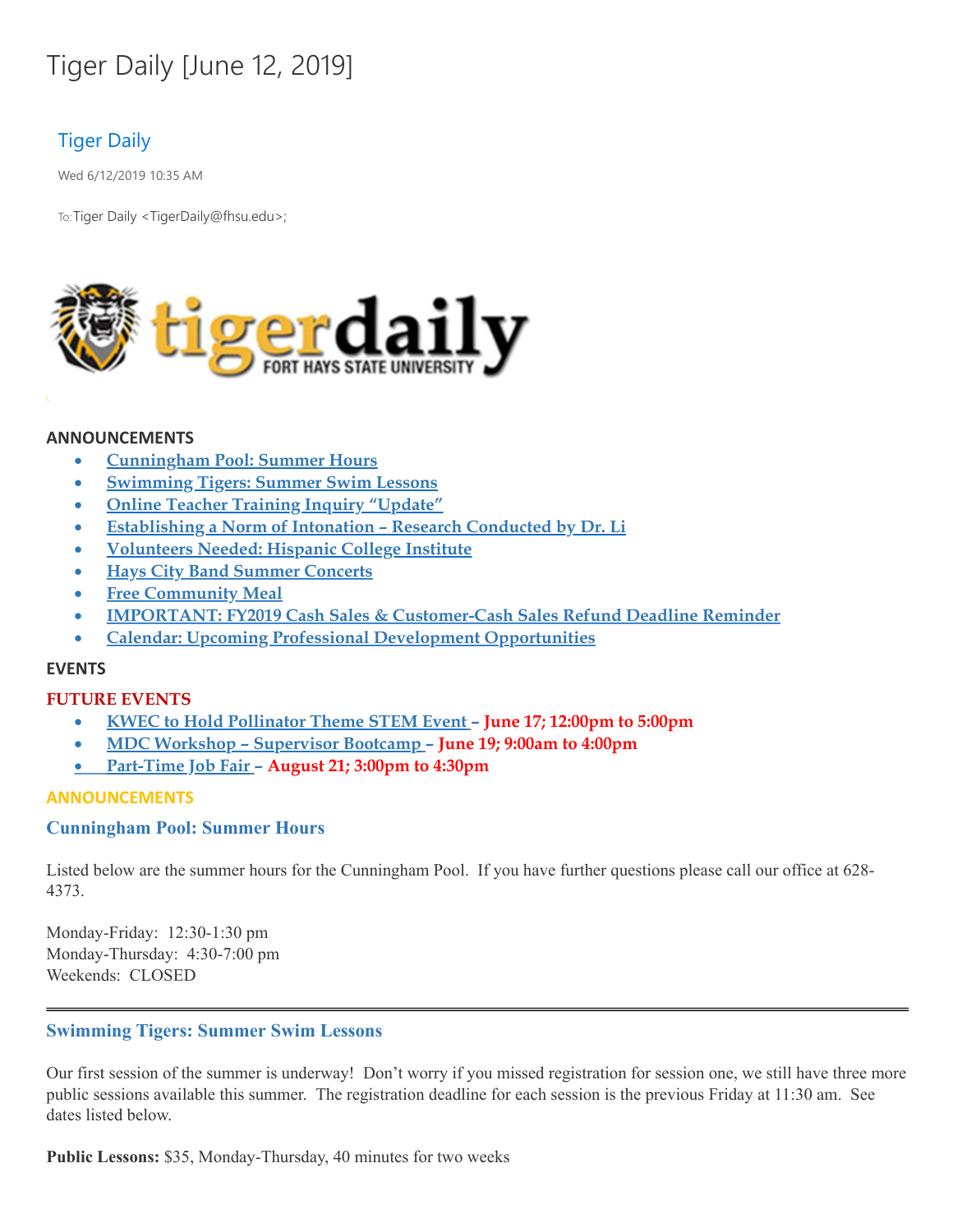# Tiger Daily [June 12, 2019]

# Tiger Daily

Wed 6/12/2019 10:35 AM

To: Tiger Daily < TigerDaily@fhsu.edu>;



#### **ANNOUNCEMENTS**

- · **Cunningham Pool: Summer Hours**
- · **Swimming Tigers: Summer Swim Lessons**
- · **Online Teacher Training Inquiry "Update"**
- · **Establishing a Norm of Intonation – Research Conducted by Dr. Li**
- · **Volunteers Needed: Hispanic College Institute**
- · **Hays City Band Summer Concerts**
- · **Free Community Meal**
- · **IMPORTANT: FY2019 Cash Sales & Customer-Cash Sales Refund Deadline Reminder**
- · **Calendar: Upcoming Professional Development Opportunities**

#### **EVENTS**

#### **FUTURE EVENTS**

- · **KWEC to Hold Pollinator Theme STEM Event – June 17; 12:00pm to 5:00pm**
- · **MDC Workshop – Supervisor Bootcamp – June 19; 9:00am to 4:00pm**
- · **[Part-Time](#page-4-0) Job Fair – August 21; 3:00pm to 4:30pm**

#### **ANNOUNCEMENTS**

#### **Cunningham Pool: Summer Hours**

Listed below are the summer hours for the Cunningham Pool. If you have further questions please call our office at 628- 4373.

Monday-Friday: 12:30-1:30 pm Monday-Thursday: 4:30-7:00 pm Weekends: CLOSED

#### **Swimming Tigers: Summer Swim Lessons**

Our first session of the summer is underway! Don't worry if you missed registration for session one, we still have three more public sessions available this summer. The registration deadline for each session is the previous Friday at 11:30 am. See dates listed below.

**Public Lessons:** \$35, Monday-Thursday, 40 minutes for two weeks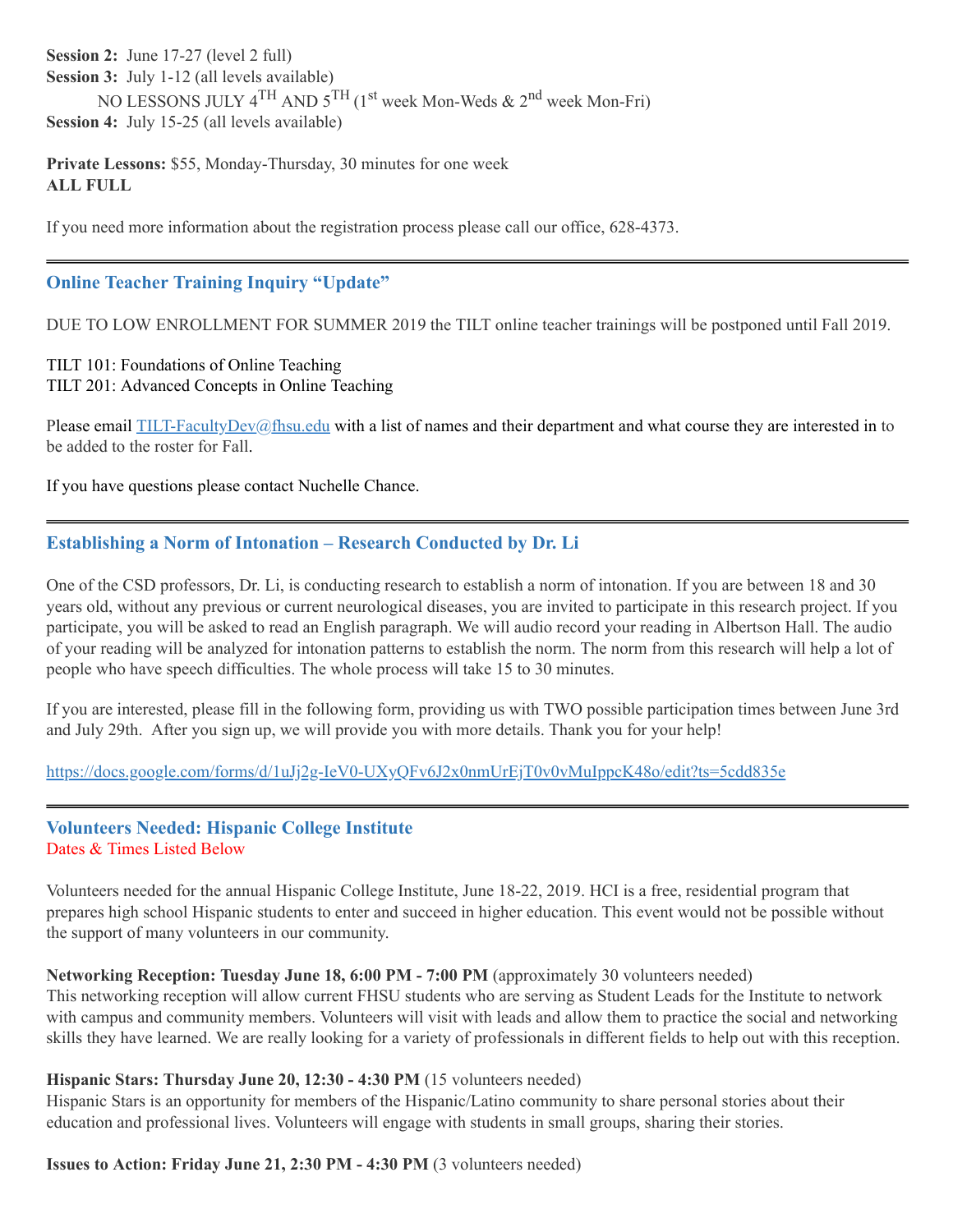**Session 2:** June 17-27 (level 2 full) **Session 3:** July 1-12 (all levels available) NO LESSONS JULY 4<sup>TH</sup> AND 5<sup>TH</sup> (1<sup>st</sup> week Mon-Weds & 2<sup>nd</sup> week Mon-Fri) **Session 4:** July 15-25 (all levels available)

**Private Lessons:** \$55, Monday-Thursday, 30 minutes for one week **ALL FULL**

If you need more information about the registration process please call our office, 628-4373.

#### **Online Teacher Training Inquiry "Update"**

DUE TO LOW ENROLLMENT FOR SUMMER 2019 the TILT online teacher trainings will be postponed until Fall 2019.

TILT 101: Foundations of Online Teaching TILT 201: Advanced Concepts in Online Teaching

Please email  $TLT-FacultyDev@fhsu.edu$  with a list of names and their department and what course they are interested in to be added to the roster for Fall.

If you have questions please contact Nuchelle Chance.

### **Establishing a Norm of Intonation – Research Conducted by Dr. Li**

One of the CSD professors, Dr. Li, is conducting research to establish a norm of intonation. If you are between 18 and 30 years old, without any previous or current neurological diseases, you are invited to participate in this research project. If you participate, you will be asked to read an English paragraph. We will audio record your reading in Albertson Hall. The audio of your reading will be analyzed for intonation patterns to establish the norm. The norm from this research will help a lot of people who have speech difficulties. The whole process will take 15 to 30 minutes.

If you are interested, please fill in the following form, providing us with TWO possible participation times between June 3rd and July 29th. After you sign up, we will provide you with more details. Thank you for your help!

<https://docs.google.com/forms/d/1uJj2g-IeV0-UXyQFv6J2x0nmUrEjT0v0vMuIppcK48o/edit?ts=5cdd835e>

#### **Volunteers Needed: Hispanic College Institute** Dates & Times Listed Below

Volunteers needed for the annual Hispanic College Institute, June 18-22, 2019. HCI is a free, residential program that prepares high school Hispanic students to enter and succeed in higher education. This event would not be possible without the support of many volunteers in our community.

#### **Networking Reception: Tuesday June 18, 6:00 PM - 7:00 PM** (approximately 30 volunteers needed)

This networking reception will allow current FHSU students who are serving as Student Leads for the Institute to network with campus and community members. Volunteers will visit with leads and allow them to practice the social and networking skills they have learned. We are really looking for a variety of professionals in different fields to help out with this reception.

#### **Hispanic Stars: Thursday June 20, 12:30 - 4:30 PM** (15 volunteers needed)

Hispanic Stars is an opportunity for members of the Hispanic/Latino community to share personal stories about their education and professional lives. Volunteers will engage with students in small groups, sharing their stories.

#### **Issues to Action: Friday June 21, 2:30 PM - 4:30 PM** (3 volunteers needed)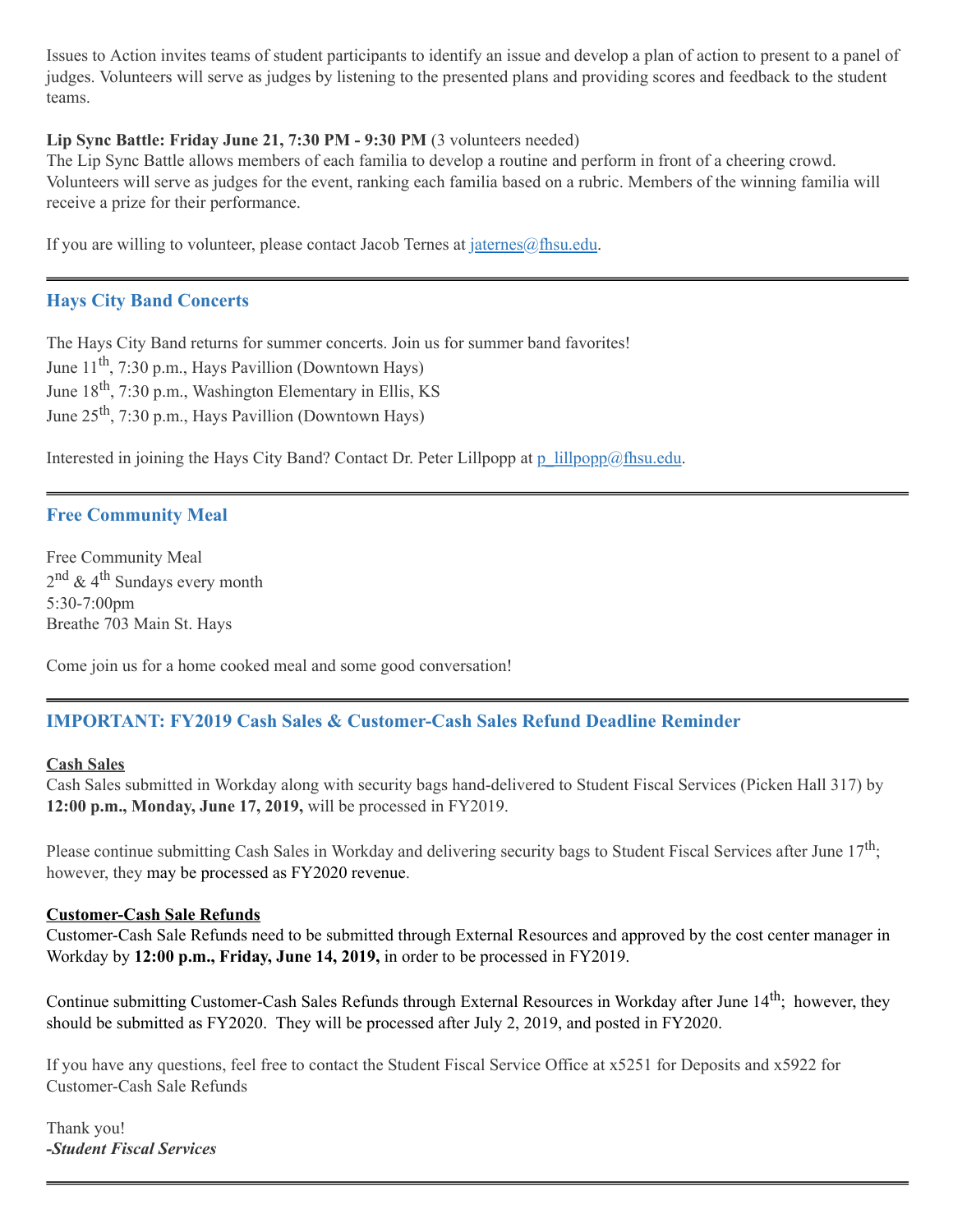Issues to Action invites teams of student participants to identify an issue and develop a plan of action to present to a panel of judges. Volunteers will serve as judges by listening to the presented plans and providing scores and feedback to the student teams.

#### **Lip Sync Battle: Friday June 21, 7:30 PM - 9:30 PM** (3 volunteers needed)

The Lip Sync Battle allows members of each familia to develop a routine and perform in front of a cheering crowd. Volunteers will serve as judges for the event, ranking each familia based on a rubric. Members of the winning familia will receive a prize for their performance.

If you are willing to volunteer, please contact Jacob Ternes at  $\frac{\partial f}{\partial x}$  in equals.

#### **Hays City Band Concerts**

The Hays City Band returns for summer concerts. Join us for summer band favorites! June 11<sup>th</sup>, 7:30 p.m., Hays Pavillion (Downtown Hays) June 18<sup>th</sup>, 7:30 p.m., Washington Elementary in Ellis, KS June 25<sup>th</sup>, 7:30 p.m., Hays Pavillion (Downtown Hays)

Interested in joining the Hays City Band? Contact Dr. Peter Lillpopp at [p\\_lillpopp@fhsu.edu](mailto:p_lillpopp@fhsu.edu).

#### **Free Community Meal**

Free Community Meal 2<sup>nd</sup> & 4<sup>th</sup> Sundays every month 5:30-7:00pm Breathe 703 Main St. Hays

Come join us for a home cooked meal and some good conversation!

## **IMPORTANT: FY2019 Cash Sales & Customer-Cash Sales Refund Deadline Reminder**

#### **Cash Sales**

Cash Sales submitted in Workday along with security bags hand-delivered to Student Fiscal Services (Picken Hall 317) by **12:00 p.m., Monday, June 17, 2019,** will be processed in FY2019.

Please continue submitting Cash Sales in Workday and delivering security bags to Student Fiscal Services after June  $17^{\text{th}}$ ; however, they may be processed as FY2020 revenue.

#### **Customer-Cash Sale Refunds**

Customer-Cash Sale Refunds need to be submitted through External Resources and approved by the cost center manager in Workday by **12:00 p.m., Friday, June 14, 2019,** in order to be processed in FY2019.

Continue submitting Customer-Cash Sales Refunds through External Resources in Workday after June 14<sup>th</sup>; however, they should be submitted as FY2020. They will be processed after July 2, 2019, and posted in FY2020.

If you have any questions, feel free to contact the Student Fiscal Service Office at x5251 for Deposits and x5922 for Customer-Cash Sale Refunds

Thank you! *-Student Fiscal Services*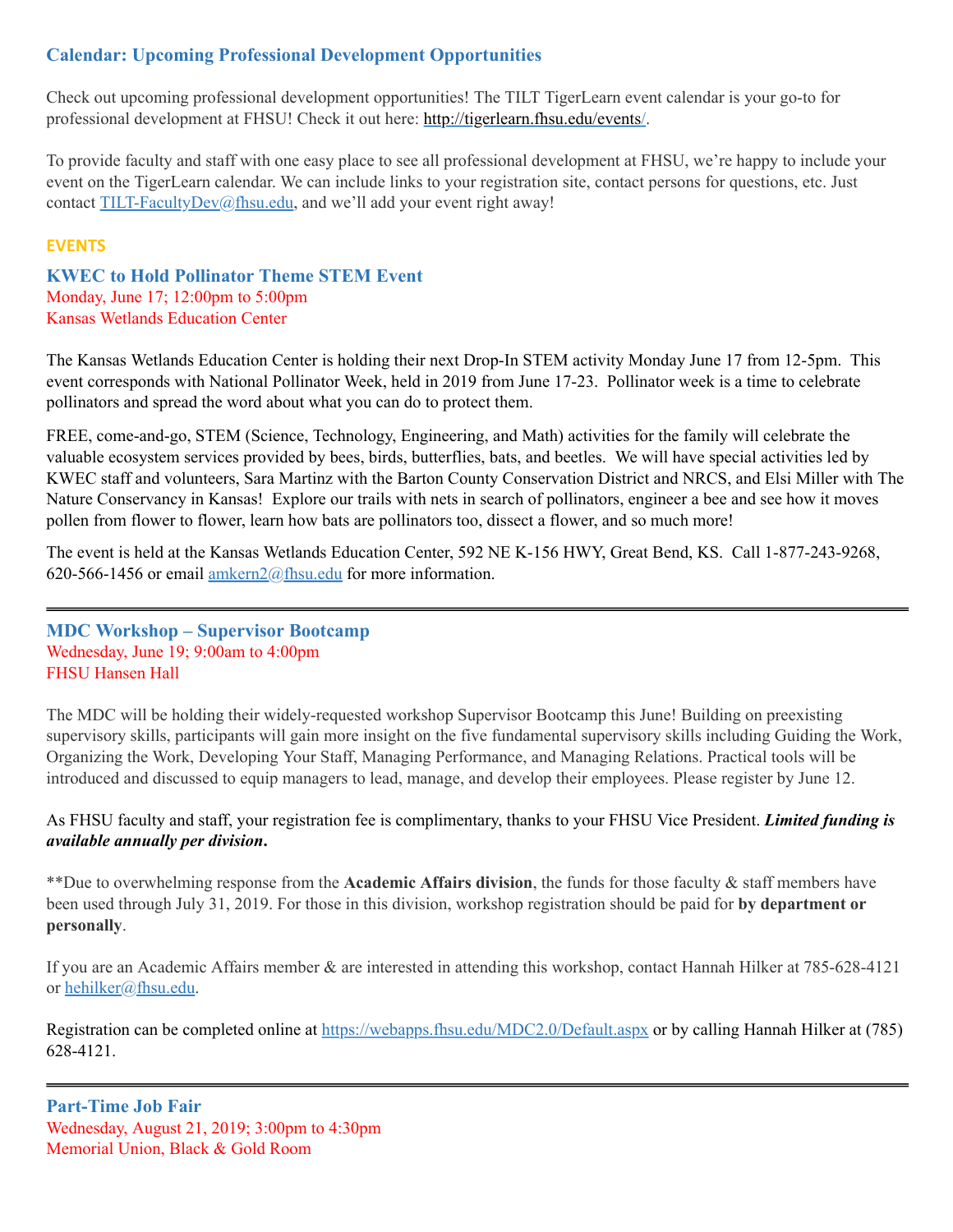## **Calendar: Upcoming Professional Development Opportunities**

Check out upcoming professional development opportunities! The TILT TigerLearn event calendar is your go-to for professional development at FHSU! Check it out here: <http://tigerlearn.fhsu.edu/events/>.

To provide faculty and staff with one easy place to see all professional development at FHSU, we're happy to include your event on the TigerLearn calendar. We can include links to your registration site, contact persons for questions, etc. Just contact [TILT-FacultyDev@fhsu.edu,](mailto:TILT-FacultyDev@fhsu.edu) and we'll add your event right away!

#### **EVENTS**

**KWEC to Hold Pollinator Theme STEM Event** Monday, June 17; 12:00pm to 5:00pm Kansas Wetlands Education Center

The Kansas Wetlands Education Center is holding their next Drop-In STEM activity Monday June 17 from 12-5pm. This event corresponds with National Pollinator Week, held in 2019 from June 17-23. Pollinator week is a time to celebrate pollinators and spread the word about what you can do to protect them.

FREE, come-and-go, STEM (Science, Technology, Engineering, and Math) activities for the family will celebrate the valuable ecosystem services provided by bees, birds, butterflies, bats, and beetles. We will have special activities led by KWEC staff and volunteers, Sara Martinz with the Barton County Conservation District and NRCS, and Elsi Miller with The Nature Conservancy in Kansas! Explore our trails with nets in search of pollinators, engineer a bee and see how it moves pollen from flower to flower, learn how bats are pollinators too, dissect a flower, and so much more!

The event is held at the Kansas Wetlands Education Center, 592 NE K-156 HWY, Great Bend, KS. Call 1-877-243-9268, 620-566-1456 or email [amkern2@fhsu.edu](mailto:amkern2@fhsu.edu) for more information.

#### <span id="page-4-0"></span>**MDC Workshop – Supervisor Bootcamp** Wednesday, June 19; 9:00am to 4:00pm FHSU Hansen Hall

The MDC will be holding their widely-requested workshop Supervisor Bootcamp this June! Building on preexisting supervisory skills, participants will gain more insight on the five fundamental supervisory skills including Guiding the Work, Organizing the Work, Developing Your Staff, Managing Performance, and Managing Relations. Practical tools will be introduced and discussed to equip managers to lead, manage, and develop their employees. Please register by June 12.

#### As FHSU faculty and staff, your registration fee is complimentary, thanks to your FHSU Vice President. *Limited funding is available annually per division***.**

\*\*Due to overwhelming response from the **Academic Affairs division**, the funds for those faculty & staff members have been used through July 31, 2019. For those in this division, workshop registration should be paid for **by department or personally**.

If you are an Academic Affairs member & are interested in attending this workshop, contact Hannah Hilker at 785-628-4121 or [hehilker@fhsu.edu](mailto:hehilker@fhsu.edu).

Registration can be completed online at <https://webapps.fhsu.edu/MDC2.0/Default.aspx> or by calling Hannah Hilker at (785) 628-4121.

**Part-Time Job Fair** Wednesday, August 21, 2019; 3:00pm to 4:30pm Memorial Union, Black & Gold Room